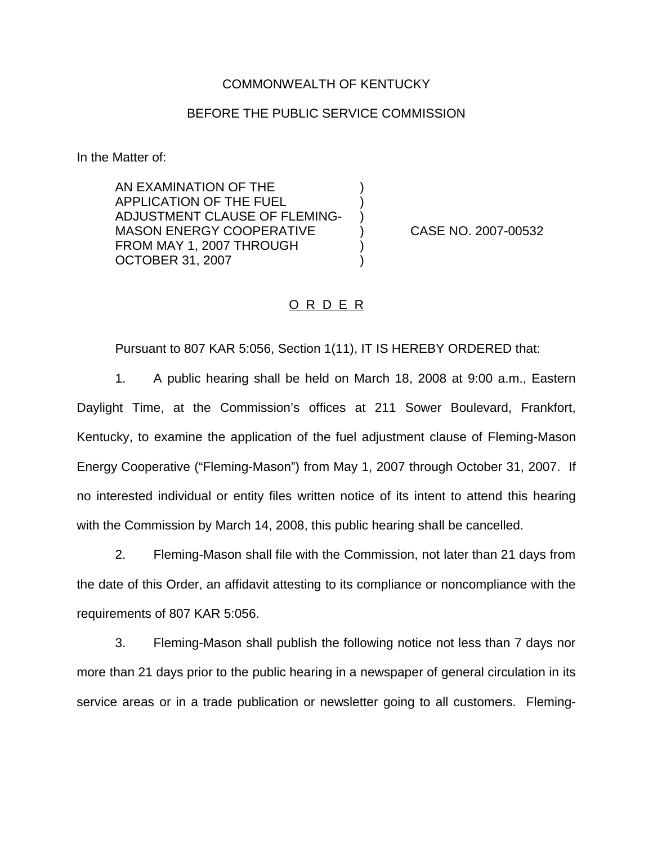## COMMONWEALTH OF KENTUCKY

## BEFORE THE PUBLIC SERVICE COMMISSION

) ) )

) )

In the Matter of:

AN EXAMINATION OF THE APPLICATION OF THE FUEL ADJUSTMENT CLAUSE OF FLEMING-MASON ENERGY COOPERATIVE FROM MAY 1, 2007 THROUGH OCTOBER 31, 2007

) CASE NO. 2007-00532

## O R D E R

Pursuant to 807 KAR 5:056, Section 1(11), IT IS HEREBY ORDERED that:

1. A public hearing shall be held on March 18, 2008 at 9:00 a.m., Eastern Daylight Time, at the Commission's offices at 211 Sower Boulevard, Frankfort, Kentucky, to examine the application of the fuel adjustment clause of Fleming-Mason Energy Cooperative ("Fleming-Mason") from May 1, 2007 through October 31, 2007. If no interested individual or entity files written notice of its intent to attend this hearing with the Commission by March 14, 2008, this public hearing shall be cancelled.

2. Fleming-Mason shall file with the Commission, not later than 21 days from the date of this Order, an affidavit attesting to its compliance or noncompliance with the requirements of 807 KAR 5:056.

3. Fleming-Mason shall publish the following notice not less than 7 days nor more than 21 days prior to the public hearing in a newspaper of general circulation in its service areas or in a trade publication or newsletter going to all customers. Fleming